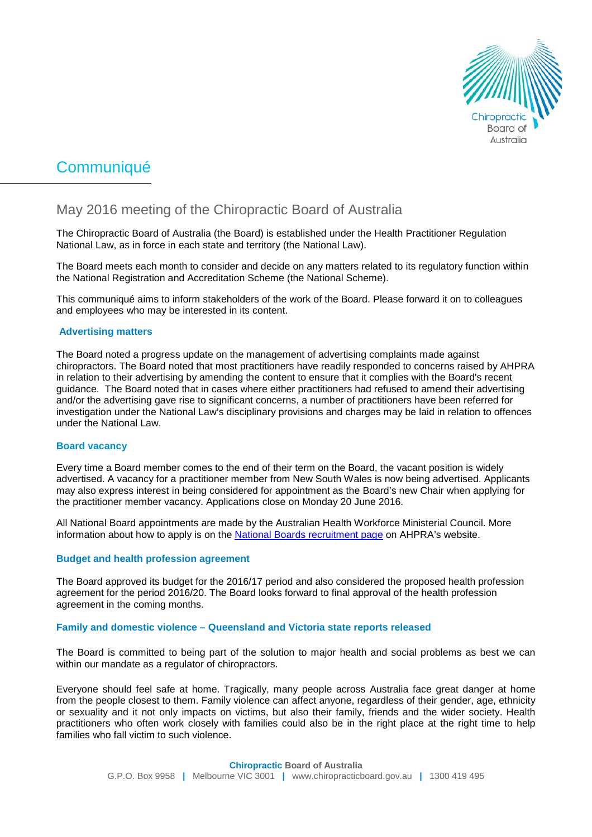

# Communiqué

# May 2016 meeting of the Chiropractic Board of Australia

The Chiropractic Board of Australia (the Board) is established under the Health Practitioner Regulation National Law, as in force in each state and territory (the National Law).

The Board meets each month to consider and decide on any matters related to its regulatory function within the National Registration and Accreditation Scheme (the National Scheme).

This communiqué aims to inform stakeholders of the work of the Board. Please forward it on to colleagues and employees who may be interested in its content.

## **Advertising matters**

The Board noted a progress update on the management of advertising complaints made against chiropractors. The Board noted that most practitioners have readily responded to concerns raised by AHPRA in relation to their advertising by amending the content to ensure that it complies with the Board's recent guidance. The Board noted that in cases where either practitioners had refused to amend their advertising and/or the advertising gave rise to significant concerns, a number of practitioners have been referred for investigation under the National Law's disciplinary provisions and charges may be laid in relation to offences under the National Law.

#### **Board vacancy**

Every time a Board member comes to the end of their term on the Board, the vacant position is widely advertised. A vacancy for a practitioner member from New South Wales is now being advertised. Applicants may also express interest in being considered for appointment as the Board's new Chair when applying for the practitioner member vacancy. Applications close on Monday 20 June 2016.

All National Board appointments are made by the Australian Health Workforce Ministerial Council. More information about how to apply is on the [National Boards recruitment page](http://www.ahpra.gov.au/National-Boards/National-Boards-recruitment.aspx) on AHPRA's website.

#### **Budget and health profession agreement**

The Board approved its budget for the 2016/17 period and also considered the proposed health profession agreement for the period 2016/20. The Board looks forward to final approval of the health profession agreement in the coming months.

#### **Family and domestic violence – Queensland and Victoria state reports released**

The Board is committed to being part of the solution to major health and social problems as best we can within our mandate as a regulator of chiropractors.

Everyone should feel safe at home. Tragically, many people across Australia face great danger at home from the people closest to them. Family violence can affect anyone, regardless of their gender, age, ethnicity or sexuality and it not only impacts on victims, but also their family, friends and the wider society. Health practitioners who often work closely with families could also be in the right place at the right time to help families who fall victim to such violence.